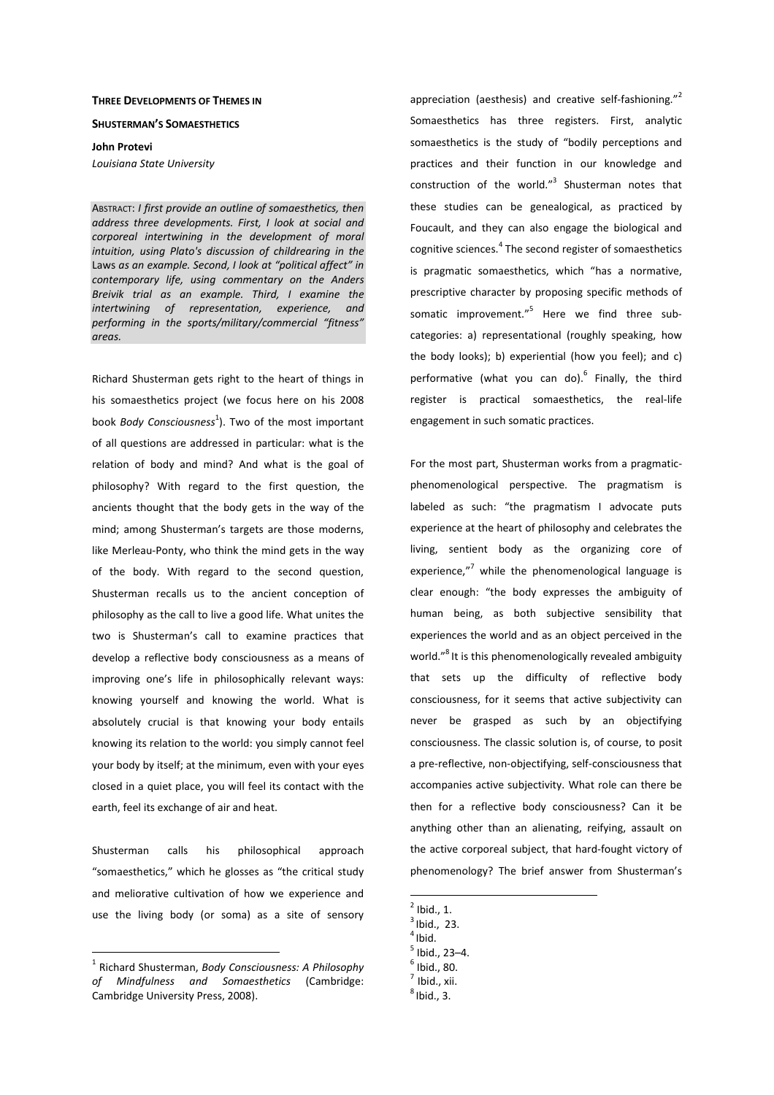#### **THREE DEVELOPMENTS OF THEMES IN**

### **SHUSTERMAN'S SOMAESTHETICS**

**John Protevi**

*Louisiana State University* 

ABSTRACT: *I first provide an outline of somaesthetics, then address three developments. First, I look at social and corporeal intertwining in the development of moral intuition, using Plato's discussion of childrearing in the*  Laws *as an example. Second, I look at "political affect" in contemporary life, using commentary on the Anders Breivik trial as an example. Third, I examine the intertwining of representation, experience, and performing in the sports/military/commercial "fitness" areas.* 

Richard Shusterman gets right to the heart of things in his somaesthetics project (we focus here on his 2008 book *Body Consciousness*<sup>1</sup>). Two of the most important of all questions are addressed in particular: what is the relation of body and mind? And what is the goal of philosophy? With regard to the first question, the ancients thought that the body gets in the way of the mind; among Shusterman's targets are those moderns, like Merleau-Ponty, who think the mind gets in the way of the body. With regard to the second question, Shusterman recalls us to the ancient conception of philosophy as the call to live a good life. What unites the two is Shusterman's call to examine practices that develop a reflective body consciousness as a means of improving one's life in philosophically relevant ways: knowing yourself and knowing the world. What is absolutely crucial is that knowing your body entails knowing its relation to the world: you simply cannot feel your body by itself; at the minimum, even with your eyes closed in a quiet place, you will feel its contact with the earth, feel its exchange of air and heat.

Shusterman calls his philosophical approach "somaesthetics," which he glosses as "the critical study and meliorative cultivation of how we experience and use the living body (or soma) as a site of sensory

 $\overline{a}$ 

appreciation (aesthesis) and creative self-fashioning."<sup>2</sup> Somaesthetics has three registers. First, analytic somaesthetics is the study of "bodily perceptions and practices and their function in our knowledge and construction of the world."<sup>3</sup> Shusterman notes that these studies can be genealogical, as practiced by Foucault, and they can also engage the biological and cognitive sciences. $^4$  The second register of somaesthetics is pragmatic somaesthetics, which "has a normative, prescriptive character by proposing specific methods of somatic improvement."<sup>5</sup> Here we find three subcategories: a) representational (roughly speaking, how the body looks); b) experiential (how you feel); and c) performative (what you can do).<sup>6</sup> Finally, the third register is practical somaesthetics, the real-life engagement in such somatic practices.

For the most part, Shusterman works from a pragmaticphenomenological perspective. The pragmatism is labeled as such: "the pragmatism I advocate puts experience at the heart of philosophy and celebrates the living, sentient body as the organizing core of experience,"<sup>7</sup> while the phenomenological language is clear enough: "the body expresses the ambiguity of human being, as both subjective sensibility that experiences the world and as an object perceived in the world."<sup>8</sup> It is this phenomenologically revealed ambiguity that sets up the difficulty of reflective body consciousness, for it seems that active subjectivity can never be grasped as such by an objectifying consciousness. The classic solution is, of course, to posit a pre-reflective, non-objectifying, self-consciousness that accompanies active subjectivity. What role can there be then for a reflective body consciousness? Can it be anything other than an alienating, reifying, assault on the active corporeal subject, that hard-fought victory of phenomenology? The brief answer from Shusterman's

 $<sup>2</sup>$  Ibid., 1.</sup>

- $3$ Ibid., 23.
- $4$ Ibid.

- $^6$  Ibid., 80.
- $<sup>7</sup>$  Ibid., xii.</sup>
- 
- $<sup>8</sup>$ Ibid., 3.</sup>

<sup>1</sup> Richard Shusterman, *Body Consciousness: A Philosophy of Mindfulness and Somaesthetics* (Cambridge: Cambridge University Press, 2008).

<sup>5</sup> Ibid., 23–4.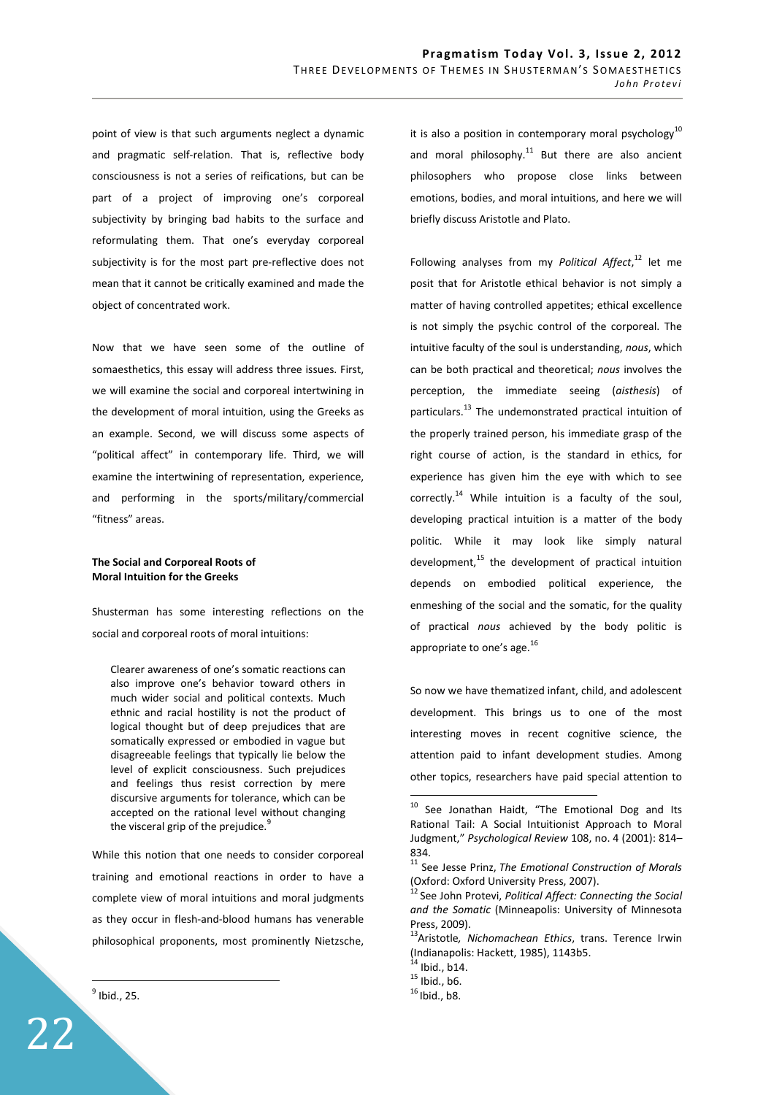point of view is that such arguments neglect a dynamic and pragmatic self-relation. That is, reflective body consciousness is not a series of reifications, but can be part of a project of improving one's corporeal subjectivity by bringing bad habits to the surface and reformulating them. That one's everyday corporeal subjectivity is for the most part pre-reflective does not mean that it cannot be critically examined and made the object of concentrated work.

Now that we have seen some of the outline of somaesthetics, this essay will address three issues. First, we will examine the social and corporeal intertwining in the development of moral intuition, using the Greeks as an example. Second, we will discuss some aspects of "political affect" in contemporary life. Third, we will examine the intertwining of representation, experience, and performing in the sports/military/commercial "fitness" areas.

## **The Social and Corporeal Roots of Moral Intuition for the Greeks**

Shusterman has some interesting reflections on the social and corporeal roots of moral intuitions:

Clearer awareness of one's somatic reactions can also improve one's behavior toward others in much wider social and political contexts. Much ethnic and racial hostility is not the product of logical thought but of deep prejudices that are somatically expressed or embodied in vague but disagreeable feelings that typically lie below the level of explicit consciousness. Such prejudices and feelings thus resist correction by mere discursive arguments for tolerance, which can be accepted on the rational level without changing the visceral grip of the prejudice.<sup>9</sup>

While this notion that one needs to consider corporeal training and emotional reactions in order to have a complete view of moral intuitions and moral judgments as they occur in flesh-and-blood humans has venerable philosophical proponents, most prominently Nietzsche,

 $<sup>9</sup>$  Ibid., 25.</sup>

 $\overline{a}$ 

22

it is also a position in contemporary moral psychology $^{10}$ and moral philosophy. $11$  But there are also ancient philosophers who propose close links between emotions, bodies, and moral intuitions, and here we will briefly discuss Aristotle and Plato.

Following analyses from my *Political Affect*, <sup>12</sup> let me posit that for Aristotle ethical behavior is not simply a matter of having controlled appetites; ethical excellence is not simply the psychic control of the corporeal. The intuitive faculty of the soul is understanding, *nous*, which can be both practical and theoretical; *nous* involves the perception, the immediate seeing (*aisthesis*) of particulars.<sup>13</sup> The undemonstrated practical intuition of the properly trained person, his immediate grasp of the right course of action, is the standard in ethics, for experience has given him the eye with which to see correctly.<sup>14</sup> While intuition is a faculty of the soul, developing practical intuition is a matter of the body politic. While it may look like simply natural development, $15$  the development of practical intuition depends on embodied political experience, the enmeshing of the social and the somatic, for the quality of practical *nous* achieved by the body politic is appropriate to one's age.<sup>16</sup>

So now we have thematized infant, child, and adolescent development. This brings us to one of the most interesting moves in recent cognitive science, the attention paid to infant development studies. Among other topics, researchers have paid special attention to

 $10$  See Jonathan Haidt, "The Emotional Dog and Its Rational Tail: A Social Intuitionist Approach to Moral Judgment," *Psychological Review* 108, no. 4 (2001): 814– 834.

<sup>11</sup> See Jesse Prinz, *The Emotional Construction of Morals* (Oxford: Oxford University Press, 2007).

See John Protevi, *Political Affect: Connecting the Social and the Somatic* (Minneapolis: University of Minnesota Press, 2009).

<sup>13</sup>Aristotle*, Nichomachean Ethics*, trans. Terence Irwin (Indianapolis: Hackett, 1985), 1143b5.

 $^{4}$  Ibid., b14.

 $^{15}$  Ibid., b6.

 $16$ Ibid., b8.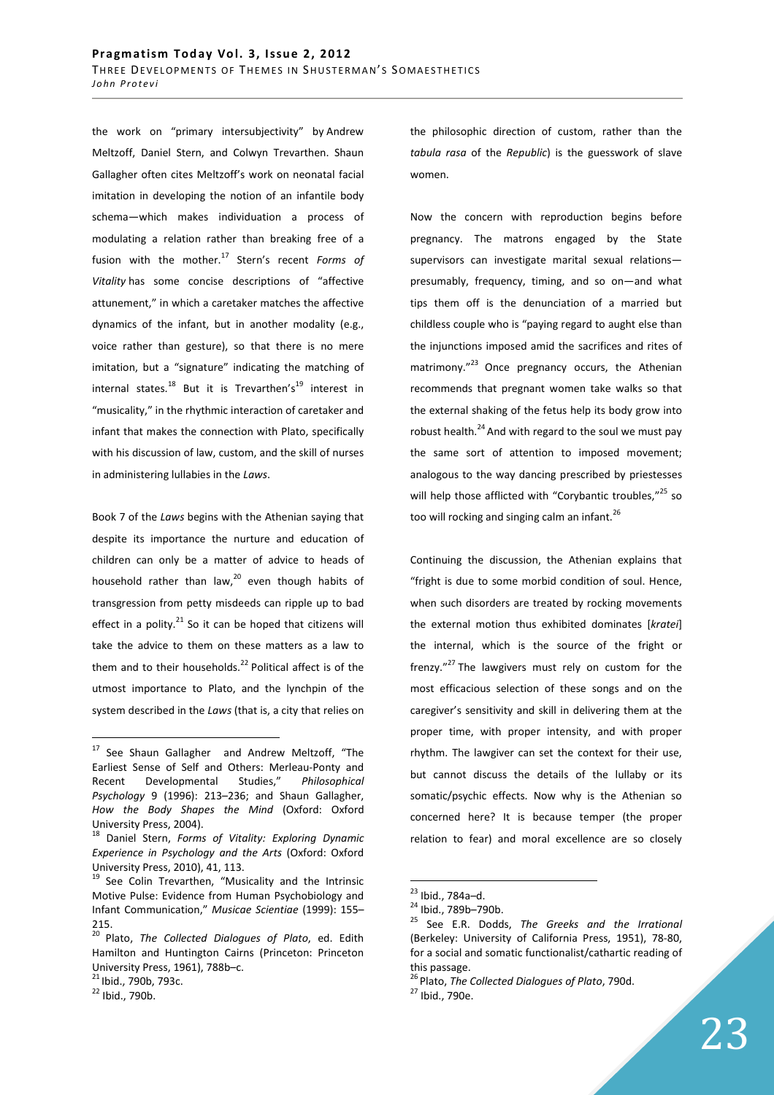the work on "primary intersubjectivity" by Andrew Meltzoff, Daniel Stern, and Colwyn Trevarthen. Shaun Gallagher often cites Meltzoff's work on neonatal facial imitation in developing the notion of an infantile body schema—which makes individuation a process of modulating a relation rather than breaking free of a fusion with the mother.<sup>17</sup> Stern's recent *Forms of Vitality* has some concise descriptions of "affective attunement," in which a caretaker matches the affective dynamics of the infant, but in another modality (e.g., voice rather than gesture), so that there is no mere imitation, but a "signature" indicating the matching of internal states.<sup>18</sup> But it is Trevarthen's<sup>19</sup> interest in "musicality," in the rhythmic interaction of caretaker and infant that makes the connection with Plato, specifically with his discussion of law, custom, and the skill of nurses in administering lullabies in the *Laws*.

Book 7 of the *Laws* begins with the Athenian saying that despite its importance the nurture and education of children can only be a matter of advice to heads of household rather than law, $^{20}$  even though habits of transgression from petty misdeeds can ripple up to bad effect in a polity. $2^{21}$  So it can be hoped that citizens will take the advice to them on these matters as a law to them and to their households. $^{22}$  Political affect is of the utmost importance to Plato, and the lynchpin of the system described in the *Laws* (that is, a city that relies on

 $\overline{a}$ 

the philosophic direction of custom, rather than the *tabula rasa* of the *Republic*) is the guesswork of slave women.

Now the concern with reproduction begins before pregnancy. The matrons engaged by the State supervisors can investigate marital sexual relations presumably, frequency, timing, and so on—and what tips them off is the denunciation of a married but childless couple who is "paying regard to aught else than the injunctions imposed amid the sacrifices and rites of matrimony. $^{23}$  Once pregnancy occurs, the Athenian recommends that pregnant women take walks so that the external shaking of the fetus help its body grow into robust health. $^{24}$  And with regard to the soul we must pay the same sort of attention to imposed movement; analogous to the way dancing prescribed by priestesses will help those afflicted with "Corybantic troubles,"<sup>25</sup> so too will rocking and singing calm an infant.<sup>26</sup>

Continuing the discussion, the Athenian explains that "fright is due to some morbid condition of soul. Hence, when such disorders are treated by rocking movements the external motion thus exhibited dominates [*kratei*] the internal, which is the source of the fright or frenzy."<sup>27</sup> The lawgivers must rely on custom for the most efficacious selection of these songs and on the caregiver's sensitivity and skill in delivering them at the proper time, with proper intensity, and with proper rhythm. The lawgiver can set the context for their use, but cannot discuss the details of the lullaby or its somatic/psychic effects. Now why is the Athenian so concerned here? It is because temper (the proper relation to fear) and moral excellence are so closely

<sup>&</sup>lt;sup>17</sup> See Shaun Gallagher and Andrew Meltzoff, "The Earliest Sense of Self and Others: Merleau-Ponty and Recent Developmental Studies," *Philosophical Psychology* 9 (1996): 213–236; and Shaun Gallagher, *How the Body Shapes the Mind* (Oxford: Oxford University Press, 2004).

<sup>18</sup> Daniel Stern, *Forms of Vitality: Exploring Dynamic Experience in Psychology and the Arts* (Oxford: Oxford University Press, 2010), 41, 113.

<sup>&</sup>lt;sup>19</sup> See Colin Trevarthen, "Musicality and the Intrinsic Motive Pulse: Evidence from Human Psychobiology and Infant Communication," *Musicae Scientiae* (1999): 155– 215.

<sup>20</sup>Plato, *The Collected Dialogues of Plato*, ed. Edith Hamilton and Huntington Cairns (Princeton: Princeton University Press, 1961), 788b–c.

<sup>&</sup>lt;sup>21</sup> Ibid., 790b, 793c.

 $22$  Ibid., 790b.

<sup>&</sup>lt;sup>23</sup> Ibid., 784a–d.

<sup>24</sup> Ibid., 789b–790b.

<sup>25</sup> See E.R. Dodds, *The Greeks and the Irrational* (Berkeley: University of California Press, 1951), 78-80, for a social and somatic functionalist/cathartic reading of this passage.

<sup>&</sup>lt;sup>26</sup> Plato, *The Collected Dialogues of Plato*, 790d.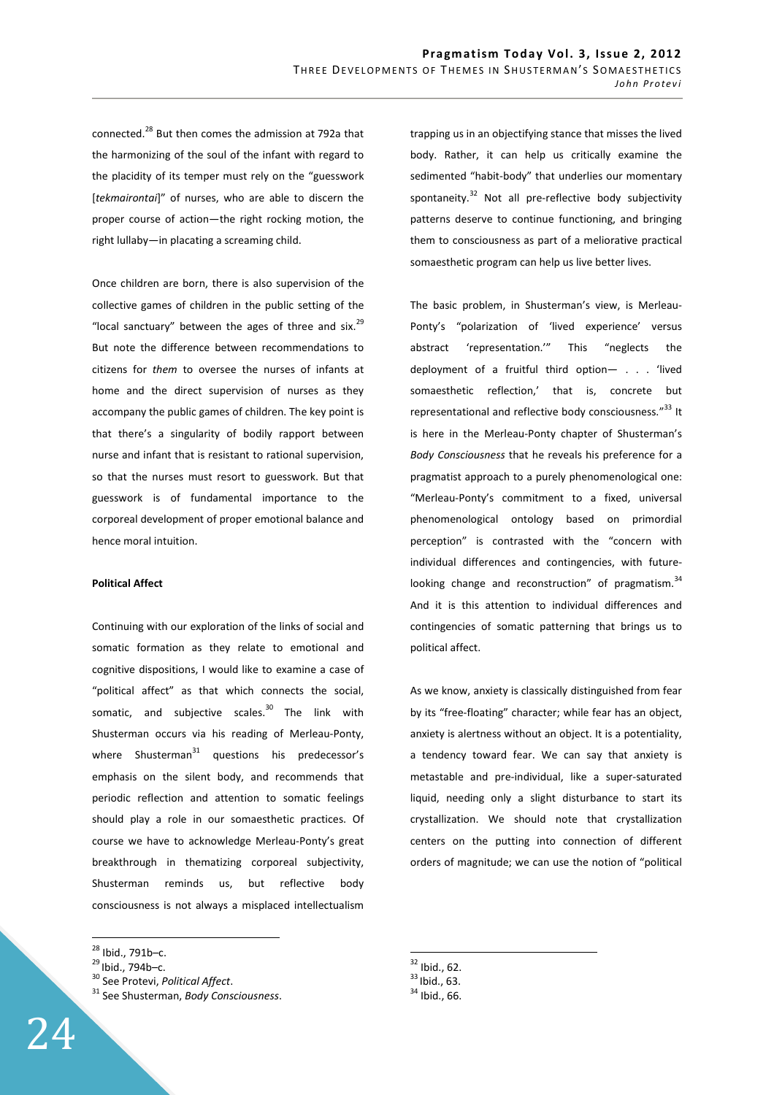connected.<sup>28</sup> But then comes the admission at 792a that the harmonizing of the soul of the infant with regard to the placidity of its temper must rely on the "guesswork [*tekmairontai*]" of nurses, who are able to discern the proper course of action—the right rocking motion, the right lullaby—in placating a screaming child.

Once children are born, there is also supervision of the collective games of children in the public setting of the "local sanctuary" between the ages of three and six.<sup>29</sup> But note the difference between recommendations to citizens for *them* to oversee the nurses of infants at home and the direct supervision of nurses as they accompany the public games of children. The key point is that there's a singularity of bodily rapport between nurse and infant that is resistant to rational supervision, so that the nurses must resort to guesswork. But that guesswork is of fundamental importance to the corporeal development of proper emotional balance and hence moral intuition.

## **Political Affect**

Continuing with our exploration of the links of social and somatic formation as they relate to emotional and cognitive dispositions, I would like to examine a case of "political affect" as that which connects the social, somatic, and subjective scales.<sup>30</sup> The link with Shusterman occurs via his reading of Merleau-Ponty, where Shusterman $31$  questions his predecessor's emphasis on the silent body, and recommends that periodic reflection and attention to somatic feelings should play a role in our somaesthetic practices. Of course we have to acknowledge Merleau-Ponty's great breakthrough in thematizing corporeal subjectivity, Shusterman reminds us, but reflective body consciousness is not always a misplaced intellectualism

 $\overline{a}$ 

trapping us in an objectifying stance that misses the lived body. Rather, it can help us critically examine the sedimented "habit-body" that underlies our momentary spontaneity. $32$  Not all pre-reflective body subjectivity patterns deserve to continue functioning, and bringing them to consciousness as part of a meliorative practical somaesthetic program can help us live better lives.

The basic problem, in Shusterman's view, is Merleau-Ponty's "polarization of 'lived experience' versus abstract 'representation.'" This "neglects the deployment of a fruitful third option— . . . 'lived somaesthetic reflection,' that is, concrete but representational and reflective body consciousness."<sup>33</sup> It is here in the Merleau-Ponty chapter of Shusterman's *Body Consciousness* that he reveals his preference for a pragmatist approach to a purely phenomenological one: "Merleau-Ponty's commitment to a fixed, universal phenomenological ontology based on primordial perception" is contrasted with the "concern with individual differences and contingencies, with futurelooking change and reconstruction" of pragmatism.<sup>34</sup> And it is this attention to individual differences and contingencies of somatic patterning that brings us to political affect.

As we know, anxiety is classically distinguished from fear by its "free-floating" character; while fear has an object, anxiety is alertness without an object. It is a potentiality, a tendency toward fear. We can say that anxiety is metastable and pre-individual, like a super-saturated liquid, needing only a slight disturbance to start its crystallization. We should note that crystallization centers on the putting into connection of different orders of magnitude; we can use the notion of "political

 $32$  Ibid., 62.

 $^{28}$  Ibid., 791b–c.

 $^{29}$ Ibid., 794b–c.

<sup>30</sup> See Protevi, *Political Affect*.

<sup>31</sup> See Shusterman, *Body Consciousness*.

 $33$  Ibid., 63.

 $34$  Ibid., 66.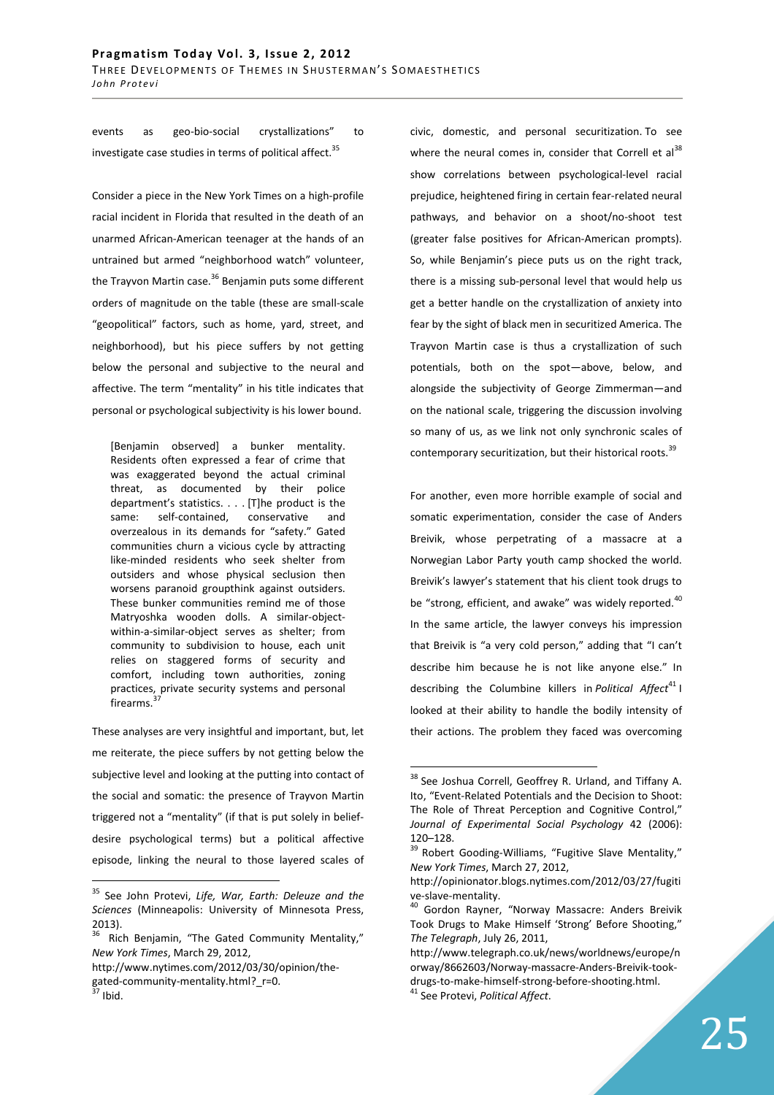events as geo-bio-social crystallizations" to investigate case studies in terms of political affect. $35$ 

Consider a piece in the New York Times on a high-profile racial incident in Florida that resulted in the death of an unarmed African-American teenager at the hands of an untrained but armed "neighborhood watch" volunteer, the Trayvon Martin case.<sup>36</sup> Benjamin puts some different orders of magnitude on the table (these are small-scale "geopolitical" factors, such as home, yard, street, and neighborhood), but his piece suffers by not getting below the personal and subjective to the neural and affective. The term "mentality" in his title indicates that personal or psychological subjectivity is his lower bound.

[Benjamin observed] a bunker mentality. Residents often expressed a fear of crime that was exaggerated beyond the actual criminal threat, as documented by their police department's statistics. . . . [T]he product is the same: self-contained, conservative and overzealous in its demands for "safety." Gated communities churn a vicious cycle by attracting like-minded residents who seek shelter from outsiders and whose physical seclusion then worsens paranoid groupthink against outsiders. These bunker communities remind me of those Matryoshka wooden dolls. A similar-objectwithin-a-similar-object serves as shelter; from community to subdivision to house, each unit relies on staggered forms of security and comfort, including town authorities, zoning practices, private security systems and personal firearms.<sup>3</sup>

These analyses are very insightful and important, but, let me reiterate, the piece suffers by not getting below the subjective level and looking at the putting into contact of the social and somatic: the presence of Trayvon Martin triggered not a "mentality" (if that is put solely in beliefdesire psychological terms) but a political affective episode, linking the neural to those layered scales of

http://www.nytimes.com/2012/03/30/opinion/thegated-community-mentality.html? r=0.

 $\overline{a}$ 

civic, domestic, and personal securitization. To see where the neural comes in, consider that Correll et  $al^{38}$ show correlations between psychological-level racial prejudice, heightened firing in certain fear-related neural pathways, and behavior on a shoot/no-shoot test (greater false positives for African-American prompts). So, while Benjamin's piece puts us on the right track, there is a missing sub-personal level that would help us get a better handle on the crystallization of anxiety into fear by the sight of black men in securitized America. The Trayvon Martin case is thus a crystallization of such potentials, both on the spot—above, below, and alongside the subjectivity of George Zimmerman—and on the national scale, triggering the discussion involving so many of us, as we link not only synchronic scales of contemporary securitization, but their historical roots.<sup>39</sup>

For another, even more horrible example of social and somatic experimentation, consider the case of Anders Breivik, whose perpetrating of a massacre at a Norwegian Labor Party youth camp shocked the world. Breivik's lawyer's statement that his client took drugs to be "strong, efficient, and awake" was widely reported.<sup>40</sup> In the same article, the lawyer conveys his impression that Breivik is "a very cold person," adding that "I can't describe him because he is not like anyone else." In describing the Columbine killers in *Political Affect*<sup>41</sup> I looked at their ability to handle the bodily intensity of their actions. The problem they faced was overcoming

<sup>35</sup> See John Protevi, *Life, War, Earth: Deleuze and the Sciences* (Minneapolis: University of Minnesota Press, 2013).

Rich Benjamin, "The Gated Community Mentality," *New York Times*, March 29, 2012,

 $\int$  Ibid.

<sup>&</sup>lt;sup>38</sup> See Joshua Correll, Geoffrey R. Urland, and Tiffany A. Ito, "Event-Related Potentials and the Decision to Shoot: The Role of Threat Perception and Cognitive Control," *Journal of Experimental Social Psychology* 42 (2006):  $120 - 128.$ 

Robert Gooding-Williams, "Fugitive Slave Mentality," *New York Times*, March 27, 2012,

http://opinionator.blogs.nytimes.com/2012/03/27/fugiti ve-slave-mentality.

<sup>&</sup>lt;sup>40</sup> Gordon Rayner, "Norway Massacre: Anders Breivik Took Drugs to Make Himself 'Strong' Before Shooting," *The Telegraph*, July 26, 2011,

http://www.telegraph.co.uk/news/worldnews/europe/n orway/8662603/Norway-massacre-Anders-Breivik-tookdrugs-to-make-himself-strong-before-shooting.html. <sup>41</sup> See Protevi, *Political Affect*.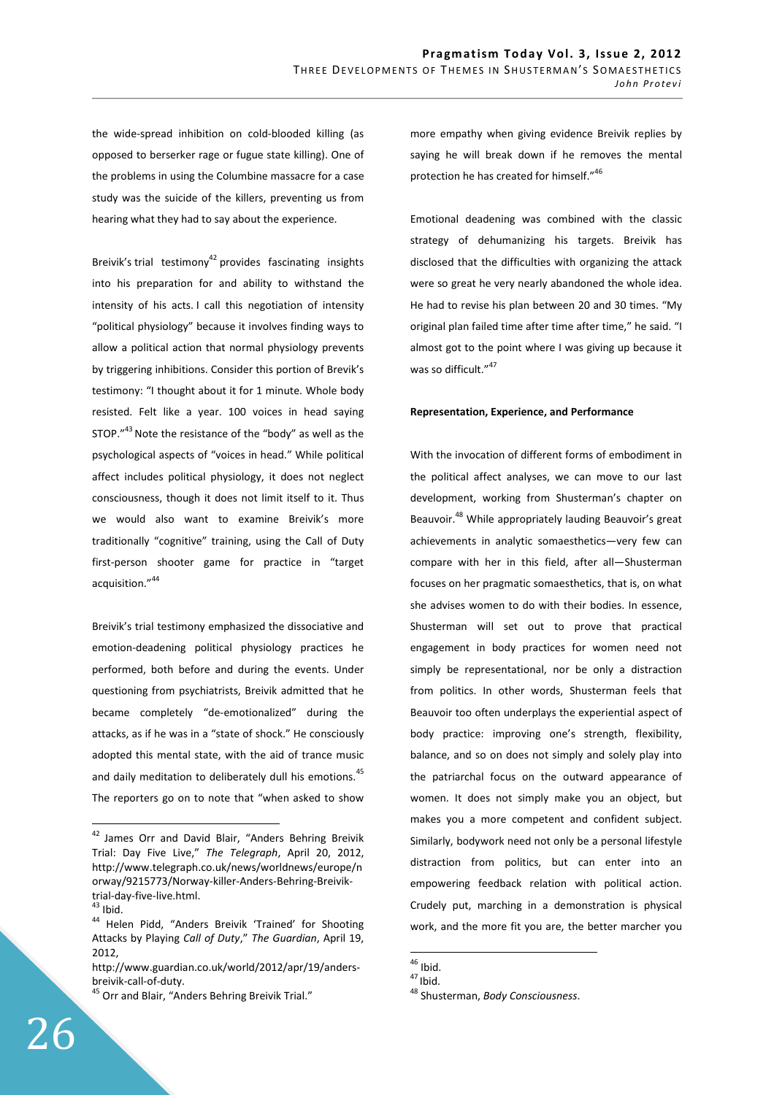the wide-spread inhibition on cold-blooded killing (as opposed to berserker rage or fugue state killing). One of the problems in using the Columbine massacre for a case study was the suicide of the killers, preventing us from hearing what they had to say about the experience.

Breivik's trial testimony<sup>42</sup> provides fascinating insights into his preparation for and ability to withstand the intensity of his acts. I call this negotiation of intensity "political physiology" because it involves finding ways to allow a political action that normal physiology prevents by triggering inhibitions. Consider this portion of Brevik's testimony: "I thought about it for 1 minute. Whole body resisted. Felt like a year. 100 voices in head saying STOP. $143}$  Note the resistance of the "body" as well as the psychological aspects of "voices in head." While political affect includes political physiology, it does not neglect consciousness, though it does not limit itself to it. Thus we would also want to examine Breivik's more traditionally "cognitive" training, using the Call of Duty first-person shooter game for practice in "target acquisition."<sup>44</sup>

Breivik's trial testimony emphasized the dissociative and emotion-deadening political physiology practices he performed, both before and during the events. Under questioning from psychiatrists, Breivik admitted that he became completely "de-emotionalized" during the attacks, as if he was in a "state of shock." He consciously adopted this mental state, with the aid of trance music and daily meditation to deliberately dull his emotions.<sup>45</sup> The reporters go on to note that "when asked to show

 $\overline{a}$ 

Emotional deadening was combined with the classic strategy of dehumanizing his targets. Breivik has disclosed that the difficulties with organizing the attack were so great he very nearly abandoned the whole idea. He had to revise his plan between 20 and 30 times. "My original plan failed time after time after time," he said. "I almost got to the point where I was giving up because it was so difficult."<sup>47</sup>

#### **Representation, Experience, and Performance**

With the invocation of different forms of embodiment in the political affect analyses, we can move to our last development, working from Shusterman's chapter on Beauvoir.<sup>48</sup> While appropriately lauding Beauvoir's great achievements in analytic somaesthetics—very few can compare with her in this field, after all—Shusterman focuses on her pragmatic somaesthetics, that is, on what she advises women to do with their bodies. In essence, Shusterman will set out to prove that practical engagement in body practices for women need not simply be representational, nor be only a distraction from politics. In other words, Shusterman feels that Beauvoir too often underplays the experiential aspect of body practice: improving one's strength, flexibility, balance, and so on does not simply and solely play into the patriarchal focus on the outward appearance of women. It does not simply make you an object, but makes you a more competent and confident subject. Similarly, bodywork need not only be a personal lifestyle distraction from politics, but can enter into an empowering feedback relation with political action. Crudely put, marching in a demonstration is physical work, and the more fit you are, the better marcher you

<sup>&</sup>lt;sup>42</sup> James Orr and David Blair, "Anders Behring Breivik Trial: Day Five Live," *The Telegraph*, April 20, 2012, http://www.telegraph.co.uk/news/worldnews/europe/n orway/9215773/Norway-killer-Anders-Behring-Breiviktrial-day-five-live.html.

 $43$  Ibid.

<sup>44</sup> Helen Pidd, "Anders Breivik 'Trained' for Shooting Attacks by Playing *Call of Duty*," *The Guardian*, April 19, 2012,

http://www.guardian.co.uk/world/2012/apr/19/andersbreivik-call-of-duty.

<sup>&</sup>lt;sup>45</sup> Orr and Blair, "Anders Behring Breivik Trial."

 $\overline{a}$  $46$  Ibid.

 $47$  Ibid.

<sup>48</sup> Shusterman, *Body Consciousness*.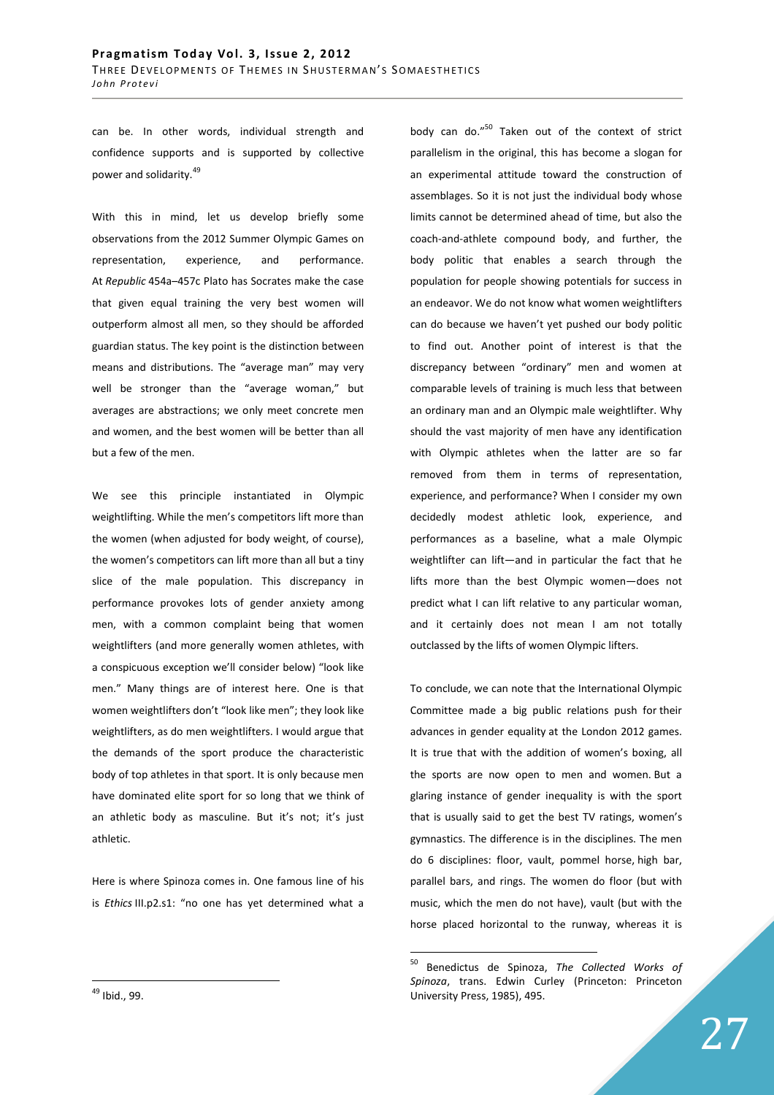can be. In other words, individual strength and confidence supports and is supported by collective power and solidarity.<sup>49</sup>

With this in mind, let us develop briefly some observations from the 2012 Summer Olympic Games on representation, experience, and performance. At *Republic* 454a–457c Plato has Socrates make the case that given equal training the very best women will outperform almost all men, so they should be afforded guardian status. The key point is the distinction between means and distributions. The "average man" may very well be stronger than the "average woman," but averages are abstractions; we only meet concrete men and women, and the best women will be better than all but a few of the men.

We see this principle instantiated in Olympic weightlifting. While the men's competitors lift more than the women (when adjusted for body weight, of course), the women's competitors can lift more than all but a tiny slice of the male population. This discrepancy in performance provokes lots of gender anxiety among men, with a common complaint being that women weightlifters (and more generally women athletes, with a conspicuous exception we'll consider below) "look like men." Many things are of interest here. One is that women weightlifters don't "look like men"; they look like weightlifters, as do men weightlifters. I would argue that the demands of the sport produce the characteristic body of top athletes in that sport. It is only because men have dominated elite sport for so long that we think of an athletic body as masculine. But it's not; it's just athletic.

Here is where Spinoza comes in. One famous line of his is *Ethics* III.p2.s1: "no one has yet determined what a body can do."<sup>50</sup> Taken out of the context of strict parallelism in the original, this has become a slogan for an experimental attitude toward the construction of assemblages. So it is not just the individual body whose limits cannot be determined ahead of time, but also the coach-and-athlete compound body, and further, the body politic that enables a search through the population for people showing potentials for success in an endeavor. We do not know what women weightlifters can do because we haven't yet pushed our body politic to find out. Another point of interest is that the discrepancy between "ordinary" men and women at comparable levels of training is much less that between an ordinary man and an Olympic male weightlifter. Why should the vast majority of men have any identification with Olympic athletes when the latter are so far removed from them in terms of representation, experience, and performance? When I consider my own decidedly modest athletic look, experience, and performances as a baseline, what a male Olympic weightlifter can lift—and in particular the fact that he lifts more than the best Olympic women—does not predict what I can lift relative to any particular woman, and it certainly does not mean I am not totally outclassed by the lifts of women Olympic lifters.

To conclude, we can note that the International Olympic Committee made a big public relations push for their advances in gender equality at the London 2012 games. It is true that with the addition of women's boxing, all the sports are now open to men and women. But a glaring instance of gender inequality is with the sport that is usually said to get the best TV ratings, women's gymnastics. The difference is in the disciplines. The men do 6 disciplines: floor, vault, pommel horse, high bar, parallel bars, and rings. The women do floor (but with music, which the men do not have), vault (but with the horse placed horizontal to the runway, whereas it is

<sup>50</sup> <sup>50</sup> Benedictus de Spinoza, *The Collected Works of Spinoza*, trans. Edwin Curley (Princeton: Princeton University Press, 1985), 495.

<sup>49</sup> Ibid., 99.